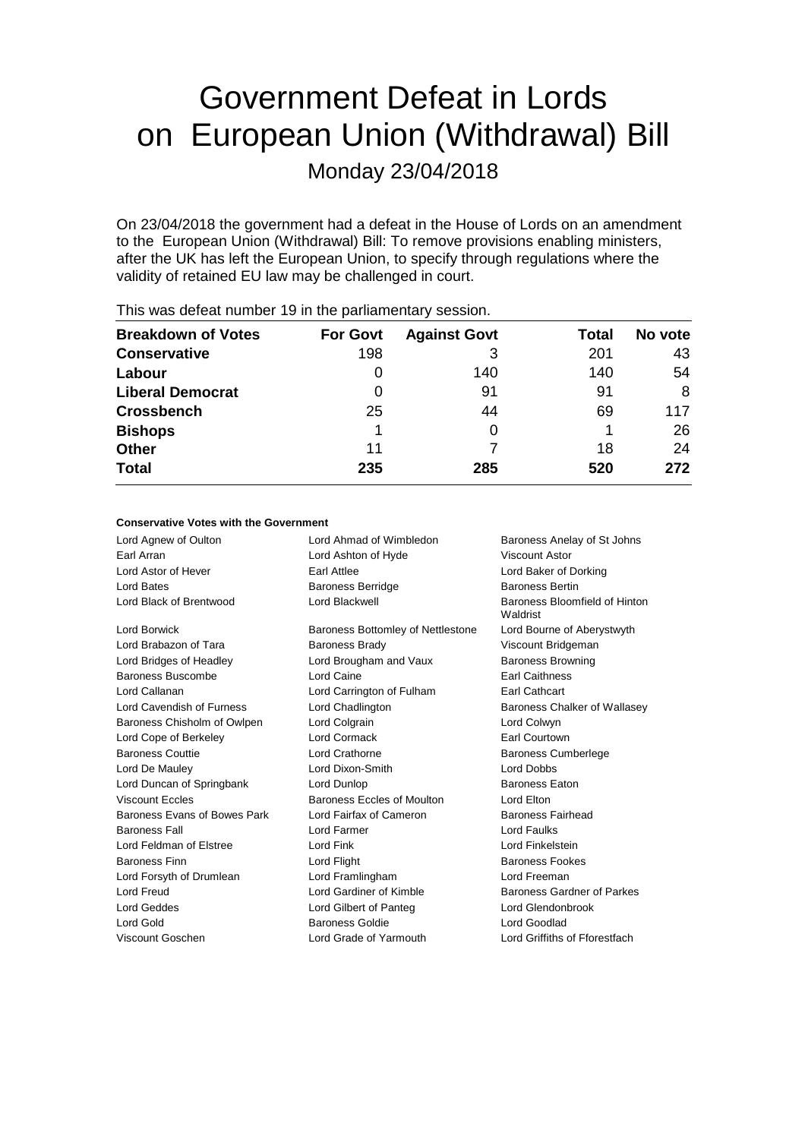# Government Defeat in Lords on European Union (Withdrawal) Bill Monday 23/04/2018

On 23/04/2018 the government had a defeat in the House of Lords on an amendment to the European Union (Withdrawal) Bill: To remove provisions enabling ministers, after the UK has left the European Union, to specify through regulations where the validity of retained EU law may be challenged in court.

| <b>For Govt</b> | <b>Against Govt</b> | Total | No vote |
|-----------------|---------------------|-------|---------|
| 198             | З                   | 201   | 43      |
| 0               | 140                 | 140   | 54      |
| 0               | 91                  | 91    | 8       |
| 25              | 44                  | 69    | 117     |
|                 |                     |       | 26      |
| 11              |                     | 18    | 24      |
| 235             | 285                 | 520   | 272     |
|                 |                     |       |         |

This was defeat number 19 in the parliamentary session.

# **Conservative Votes with the Government**

| Lord Agnew of Oulton         | Lord Ahmad of Wimbledon           | Baroness Anelay of St Johns               |
|------------------------------|-----------------------------------|-------------------------------------------|
| Farl Arran                   | Lord Ashton of Hyde               | Viscount Astor                            |
| Lord Astor of Hever          | Earl Attlee                       | Lord Baker of Dorking                     |
| Lord Bates                   | <b>Baroness Berridge</b>          | <b>Baroness Bertin</b>                    |
| Lord Black of Brentwood      | Lord Blackwell                    | Baroness Bloomfield of Hinton<br>Waldrist |
| Lord Borwick                 | Baroness Bottomley of Nettlestone | Lord Bourne of Aberystwyth                |
| Lord Brabazon of Tara        | <b>Baroness Brady</b>             | Viscount Bridgeman                        |
| Lord Bridges of Headley      | Lord Brougham and Vaux            | <b>Baroness Browning</b>                  |
| Baroness Buscombe            | Lord Caine                        | <b>Earl Caithness</b>                     |
| Lord Callanan                | Lord Carrington of Fulham         | Earl Cathcart                             |
| Lord Cavendish of Furness    | Lord Chadlington                  | Baroness Chalker of Wallasey              |
| Baroness Chisholm of Owlpen  | Lord Colgrain                     | Lord Colwyn                               |
| Lord Cope of Berkeley        | Lord Cormack                      | <b>Earl Courtown</b>                      |
| <b>Baroness Couttie</b>      | Lord Crathorne                    | <b>Baroness Cumberlege</b>                |
| Lord De Mauley               | Lord Dixon-Smith                  | <b>Lord Dobbs</b>                         |
| Lord Duncan of Springbank    | Lord Dunlop                       | <b>Baroness Eaton</b>                     |
| <b>Viscount Eccles</b>       | Baroness Eccles of Moulton        | Lord Elton                                |
| Baroness Evans of Bowes Park | Lord Fairfax of Cameron           | <b>Baroness Fairhead</b>                  |
| <b>Baroness Fall</b>         | Lord Farmer                       | Lord Faulks                               |
| Lord Feldman of Elstree      | Lord Fink                         | Lord Finkelstein                          |
| <b>Baroness Finn</b>         | Lord Flight                       | <b>Baroness Fookes</b>                    |
| Lord Forsyth of Drumlean     | Lord Framlingham                  | Lord Freeman                              |
| Lord Freud                   | Lord Gardiner of Kimble           | Baroness Gardner of Parkes                |
| Lord Geddes                  | Lord Gilbert of Panteg            | Lord Glendonbrook                         |
| Lord Gold                    | <b>Baroness Goldie</b>            | Lord Goodlad                              |
| Viscount Goschen             | Lord Grade of Yarmouth            | Lord Griffiths of Fforestfach             |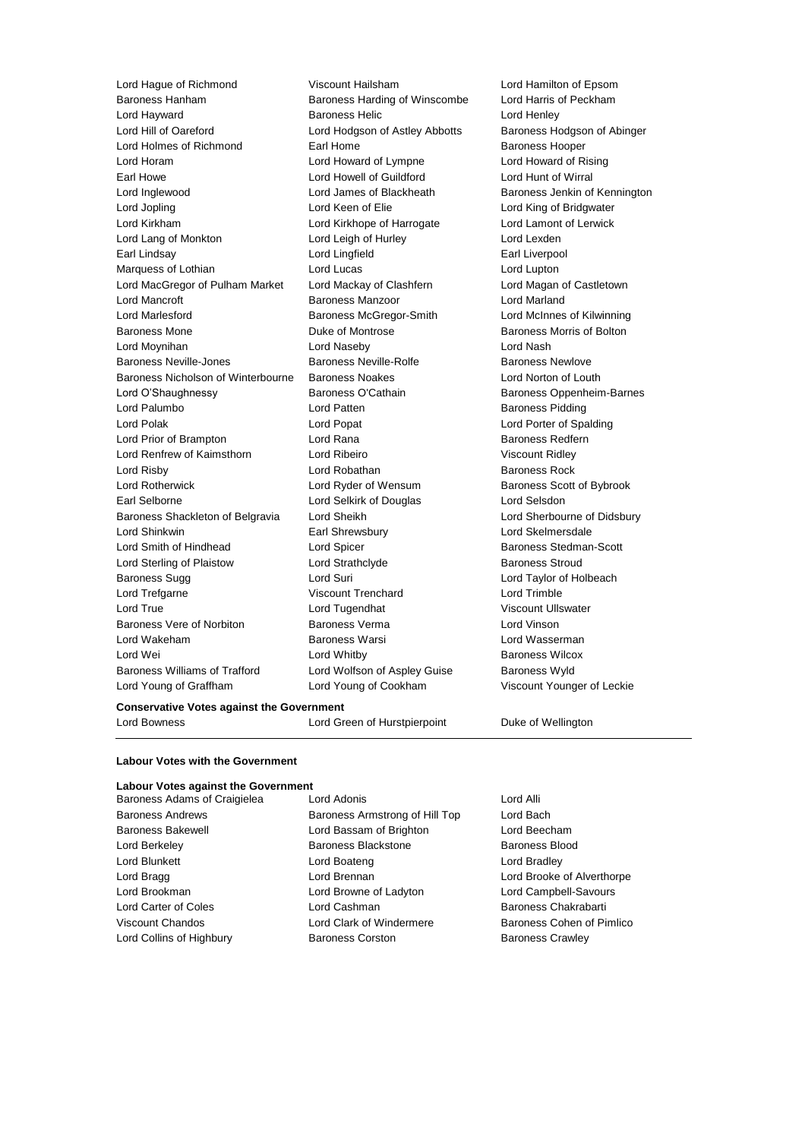Lord Hague of Richmond Viscount Hailsham Lord Hamilton of Epsom Baroness Hanham Baroness Harding of Winscombe Lord Harris of Peckham Lord Hayward Baroness Helic Lord Henley Lord Hill of Oareford **Lord Hodgson of Astley Abbotts** Baroness Hodgson of Abinger Lord Holmes of Richmond Earl Home Earl Home Baroness Hooper Lord Horam Lord Howard of Lympne Lord Howard of Rising Earl Howe Lord Howell of Guildford Lord Hunt of Wirral Lord Inglewood **Lord James of Blackheath** Baroness Jenkin of Kennington Lord Jopling **Lord Communist Communist Communist Communist Communist Communist Communist Communist Communist Communist Communist Communist Communist Communist Communist Communist Communist Communist Communist Communist Com** Lord Kirkham Lord Kirkhope of Harrogate Lord Lamont of Lerwick Lord Lang of Monkton Lord Leigh of Hurley Lord Lexden Earl Lindsay **Earl Lingfield** Earl Liverpool Marquess of Lothian **Lord Lucas** Lord Lucas Lord Lupton Lord MacGregor of Pulham Market Lord Mackay of Clashfern Lord Magan of Castletown Lord Mancroft **Baroness Manzoor** Baroness Manzoor **Lord Marland** Lord Marlesford Baroness McGregor-Smith Lord McInnes of Kilwinning Baroness Mone **Duke of Montrose Baroness Morris of Bolton** Lord Moynihan Lord Naseby Lord Nash Baroness Neville-Jones **Baroness Neville-Rolfe** Baroness Newlove Baroness Nicholson of Winterbourne Baroness Noakes Lord Norton of Louth Lord O'Shaughnessy **Baroness O'Cathain** Baroness Oppenheim-Barnes Lord Palumbo<br>
Lord Patten Baroness Pidding Lord Polak Lord Popat Lord Porter of Spalding Lord Prior of Brampton Lord Rana Baroness Redfern Lord Renfrew of Kaimsthorn Lord Ribeiro Viscount Ridley Lord Risby **Lord Robathan** Baroness Rock **Container Baroness Rock** Lord Rotherwick Lord Ryder of Wensum Baroness Scott of Bybrook Earl Selborne Lord Selkirk of Douglas Lord Selsdon Baroness Shackleton of Belgravia Lord Sheikh Lord Sherbourne of Didsbury Lord Shinkwin Earl Shrewsbury Lord Skelmersdale Lord Smith of Hindhead Lord Spicer Baroness Stedman-Scott Lord Sterling of Plaistow Lord Strathclyde Baroness Stroud Baroness Sugg **Lord Suri** Lord Suri **Lord Taylor of Holbeach** Lord Trefgarne Viscount Trenchard Lord Trimble Lord True **Lord Tugendhat** Viscount Ullswater Baroness Vere of Norbiton Baroness Verma Lord Vinson Lord Wakeham Baroness Warsi Lord Wasserman Lord Wei **Lord Whitby Baroness Wilcox Baroness Wilcox** Baroness Williams of Trafford Lord Wolfson of Aspley Guise Baroness Wyld Lord Young of Graffham Lord Young of Cookham Viscount Younger of Leckie

#### **Conservative Votes against the Government**

Lord Bowness Lord Green of Hurstpierpoint Duke of Wellington

#### **Labour Votes with the Government**

#### **Labour Votes against the Government**

| Baroness Adams of Craiglelea |
|------------------------------|
| <b>Baroness Andrews</b>      |
| <b>Baroness Bakewell</b>     |
| Lord Berkeley                |
| Lord Blunkett                |
| Lord Bragg                   |
| Lord Brookman                |
| Lord Carter of Coles         |
| <b>Viscount Chandos</b>      |
| Lord Collins of Highbury     |
|                              |

Baroness Adams of Craigielea Lord Adonis Lord Alli Baroness Armstrong of Hill Top Lord Bach Lord Bassam of Brighton Lord Beecham Baroness Blackstone Baroness Blood Lord Boateng **Lord Bradley** Lord Brennan **Lord Brooke of Alverthorpe** Lord Browne of Ladyton Lord Campbell-Savours Lord Cashman **Baroness Chakrabarti** Lord Clark of Windermere **Baroness Cohen of Pimlico** Baroness Corston **Baroness Crawley**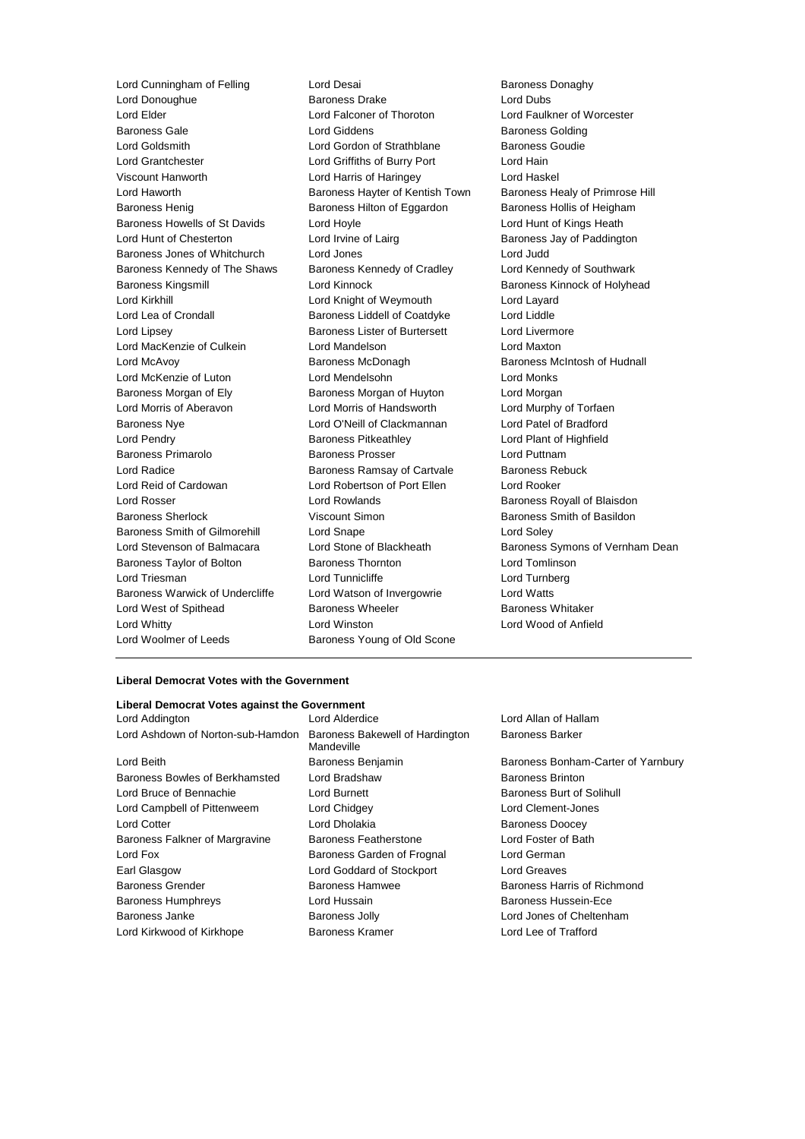Lord Cunningham of Felling Lord Desai Corporation and Baroness Donaghy<br>
Lord Donoughue **Baroness Drake** Baroness Drake Lord Dubs Lord Donoughue **Baroness Drake** Lord Dubs<br>
Lord Elder Lord Elder Lord East Lord Elder Lord Eaulk<br>
Lord Elder Lord Eaulk Lord Elder Lord Falconer of Thoroton Lord Faulkner of Worcester Baroness Gale **Baroness Golding** Lord Giddens **Baroness Golding** Lord Goldsmith Lord Gordon of Strathblane Baroness Goudie Lord Grantchester Lord Griffiths of Burry Port Lord Hain Viscount Hanworth Lord Harris of Haringey Lord Haskel Lord Haworth **Baroness Hayter of Kentish Town** Baroness Healy of Primrose Hill Baroness Henig Baroness Hilton of Eggardon Baroness Hollis of Heigham Baroness Howells of St Davids Lord Hoyle Lord Hunt of Kings Heath Lord Hunt of Chesterton **Lord Irvine of Lairg Baroness Jay of Paddington** Baroness Jones of Whitchurch Lord Jones Lord Judd Baroness Kennedy of The Shaws Baroness Kennedy of Cradley Lord Kennedy of Southwark Baroness Kingsmill **Example 20** Lord Kinnock **Baroness Kinnock of Holyhead** Lord Kirkhill Lord Knight of Weymouth Lord Layard Lord Lea of Crondall Baroness Liddell of Coatdyke Lord Liddle Lord Lipsey **Baroness Lister of Burtersett** Lord Livermore Lord MacKenzie of Culkein **Lord Mandelson** Lord Maxton Lord McAvoy Baroness McDonagh Baroness McIntosh of Hudnall Lord McKenzie of Luton Lord Mendelsohn Lord Monks Baroness Morgan of Ely **Baroness Morgan of Huyton** Lord Morgan Lord Morris of Aberavon Lord Morris of Handsworth Lord Murphy of Torfaen Baroness Nye Lord O'Neill of Clackmannan Lord Patel of Bradford Lord Pendry Baroness Pitkeathley Lord Plant of Highfield Baroness Primarolo **Baroness Prosser Baroness Prosser** Lord Puttnam Lord Radice **Baroness Ramsay of Cartvale** Baroness Rebuck Lord Reid of Cardowan Lord Robertson of Port Ellen Lord Rooker Lord Rosser Lord Rowlands Baroness Royall of Blaisdon Baroness Sherlock Viscount Simon Baroness Smith of Basildon Baroness Smith of Gilmorehill Lord Snape Lord Soley Lord Stevenson of Balmacara Lord Stone of Blackheath Baroness Symons of Vernham Dean Baroness Taylor of Bolton Baroness Thornton Lord Tomlinson Lord Triesman **Lord Tunnicliffe** Lord Tunnicliffe Lord Turnberg Baroness Warwick of Undercliffe Lord Watson of Invergowrie Lord Watts Lord West of Spithead **Baroness Wheeler** Baroness Whitaker Lord Whitty Lord Winston Lord Wood of Anfield Lord Woolmer of Leeds **Baroness Young of Old Scone** 

### **Liberal Democrat Votes with the Government**

| Lord Addington                    | Lord Alderdice                                | Lc |
|-----------------------------------|-----------------------------------------------|----|
| Lord Ashdown of Norton-sub-Hamdon | Baroness Bakewell of Hardington<br>Mandeville | Вέ |
| Lord Beith                        | Baroness Benjamin                             | Bε |
| Baroness Bowles of Berkhamsted    | Lord Bradshaw                                 | Вέ |
| Lord Bruce of Bennachie           | <b>Lord Burnett</b>                           | Bε |
| Lord Campbell of Pittenweem       | Lord Chidgey                                  | Lc |
| <b>Lord Cotter</b>                | Lord Dholakia                                 | Вέ |
| Baroness Falkner of Margravine    | Baroness Featherstone                         | Lc |
| Lord Fox                          | Baroness Garden of Frognal                    | Lc |
| Earl Glasgow                      | Lord Goddard of Stockport                     | Lc |
| <b>Baroness Grender</b>           | <b>Baroness Hamwee</b>                        | Bε |
| <b>Baroness Humphreys</b>         | Lord Hussain                                  | Вέ |
| Baroness Janke                    | <b>Baroness Jolly</b>                         | Lc |
| Lord Kirkwood of Kirkhope         | <b>Baroness Kramer</b>                        | Lc |
|                                   |                                               |    |

ord Allan of Hallam aroness Barker

aroness Bonham-Carter of Yarnbury aroness Brinton aroness Burt of Solihull ord Clement-Jones aroness Doocey ard Foster of Bath ord German ord Greaves aroness Harris of Richmond aroness Hussein-Ece ard Jones of Cheltenham Lord Kirkwood of Kirkhope Baroness Kramer Lord Lee of Trafford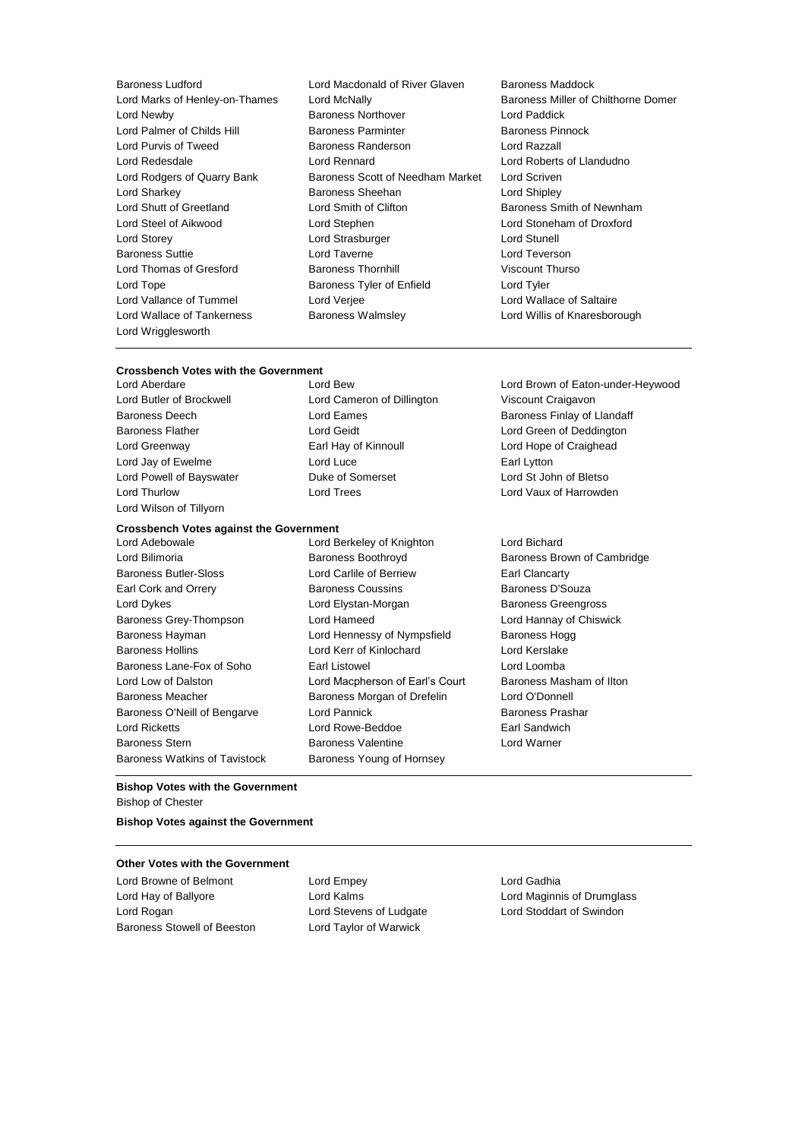Lord Wrigglesworth

- Baroness Ludford Lord Macdonald of River Glaven Baroness Maddock Lord Marks of Henley-on-Thames Lord McNally Baroness Miller of Chilthorne Domer Lord Newby Baroness Northover Lord Paddick Lord Palmer of Childs Hill Baroness Parminter Baroness Parminter Baroness Pinnock Lord Purvis of Tweed Baroness Randerson Lord Razzall Lord Redesdale Lord Rennard Lord Roberts of Llandudno Lord Rodgers of Quarry Bank Baroness Scott of Needham Market Lord Scriven<br>Lord Sharkey Baroness Sheehan Lord Shipley Baroness Sheehan Lord Shipley Lord Shutt of Greetland Lord Smith of Clifton Baroness Smith of Newnham Lord Steel of Aikwood Lord Stephen Lord Stoneham of Droxford Lord Storey **Lord Strasburger** Lord Strasburger **Lord Strasburger** Lord Stunell Baroness Suttie Lord Taverne Lord Teverson Lord Thomas of Gresford Baroness Thornhill Viscount Thurso Lord Tope **Baroness Tyler of Enfield** Lord Tyler **Lord Tyler** Lord Vallance of Tummel **Lord Verjee** Lord Verjee Lord Wallace of Saltaire Lord Wallace of Tankerness **Baroness Walmsley Communist Construct** Lord Willis of Knaresborough
- **Crossbench Votes with the Government**<br>Lord Aberdare Lord Bew
- Lord Butler of Brockwell Lord Cameron of Dillington Viscount Craigavon Baroness Flather **Lord Geidt** Lord Geidt **Lord Green of Deddington** Lord Greenway **Earl Hay of Kinnoull** Lord Hope of Craighead Lord Jay of Ewelme **Lord Luce Lord Luce Lord Luce Earl Lytton** Lord Powell of Bayswater Duke of Somerset Lord St John of Bletso Lord Thurlow Lord Trees Lord Vaux of Harrowden Lord Wilson of Tillyorn

# **Crossbench Votes against the Government**

- Lord Bilimoria **Baroness Boothroyd** Baroness Boothroyd Baroness Brown of Cambridge Baroness Butler-Sloss Lord Carlile of Berriew Earl Clancarty Earl Cork and Orrery **Baroness Coussins** Baroness D'Souza Lord Dykes Lord Elystan-Morgan Baroness Greengross Baroness Grey-Thompson Lord Hameed Lord Hannay of Chiswick Baroness Hayman **Lord Hennessy of Nympsfield** Baroness Hogg Baroness Hollins Lord Kerr of Kinlochard Lord Kerslake Baroness Lane-Fox of Soho Earl Listowel Lord Loomba Lord Low of Dalston **Lord Macpherson of Earl's Court** Baroness Masham of Ilton Baroness Meacher **Baroness Morgan of Drefelin** Lord O'Donnell Baroness O'Neill of Bengarve Lord Pannick **Baroness Prashar** Baroness Prashar Lord Ricketts Lord Rowe-Beddoe Earl Sandwich Baroness Stern Baroness Valentine Lord Warner Baroness Watkins of Tavistock Baroness Young of Hornsey
- Lord Berkeley of Knighton Lord Bichard
- 
- Lord Brown of Eaton-under-Heywood Baroness Deech **Lord Eames Baroness Finlay of Llandaff Baroness Finlay of Llandaff** 
	-

## **Bishop Votes with the Government** Bishop of Chester

**Bishop Votes against the Government**

### **Other Votes with the Government**

Lord Browne of Belmont Lord Empey Lord Empey Lord Hay of Ballyore Lord Kalms Lord Maginnis of Drumglass Lord Rogan Lord Stevens of Ludgate Lord Stoddart of Swindon Baroness Stowell of Beeston Lord Taylor of Warwick